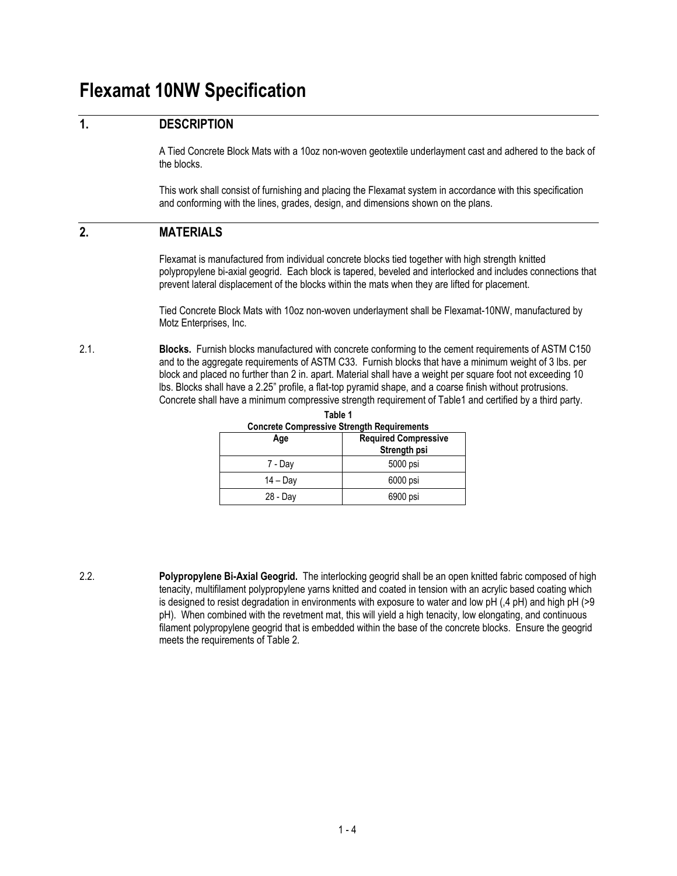# **Flexamat 10NW Specification**

## **1. DESCRIPTION**

A Tied Concrete Block Mats with a 10oz non-woven geotextile underlayment cast and adhered to the back of the blocks.

This work shall consist of furnishing and placing the Flexamat system in accordance with this specification and conforming with the lines, grades, design, and dimensions shown on the plans.

## **2. MATERIALS**

Flexamat is manufactured from individual concrete blocks tied together with high strength knitted polypropylene bi-axial geogrid. Each block is tapered, beveled and interlocked and includes connections that prevent lateral displacement of the blocks within the mats when they are lifted for placement.

Tied Concrete Block Mats with 10oz non-woven underlayment shall be Flexamat-10NW, manufactured by Motz Enterprises, Inc.

2.1. **Blocks.** Furnish blocks manufactured with concrete conforming to the cement requirements of ASTM C150 and to the aggregate requirements of ASTM C33. Furnish blocks that have a minimum weight of 3 lbs. per block and placed no further than 2 in. apart. Material shall have a weight per square foot not exceeding 10 lbs. Blocks shall have a 2.25" profile, a flat-top pyramid shape, and a coarse finish without protrusions. Concrete shall have a minimum compressive strength requirement of Table1 and certified by a third party.

**Table 1**

| <b>Concrete Compressive Strength Requirements</b> |                                             |  |  |
|---------------------------------------------------|---------------------------------------------|--|--|
| Age                                               | <b>Required Compressive</b><br>Strength psi |  |  |
| 7 - Day                                           | 5000 psi                                    |  |  |
| $14 - Day$                                        | 6000 psi                                    |  |  |
| 28 - Day                                          | 6900 psi                                    |  |  |

2.2. **Polypropylene Bi-Axial Geogrid.** The interlocking geogrid shall be an open knitted fabric composed of high tenacity, multifilament polypropylene yarns knitted and coated in tension with an acrylic based coating which is designed to resist degradation in environments with exposure to water and low pH (,4 pH) and high pH (>9 pH). When combined with the revetment mat, this will yield a high tenacity, low elongating, and continuous filament polypropylene geogrid that is embedded within the base of the concrete blocks. Ensure the geogrid meets the requirements of Table 2.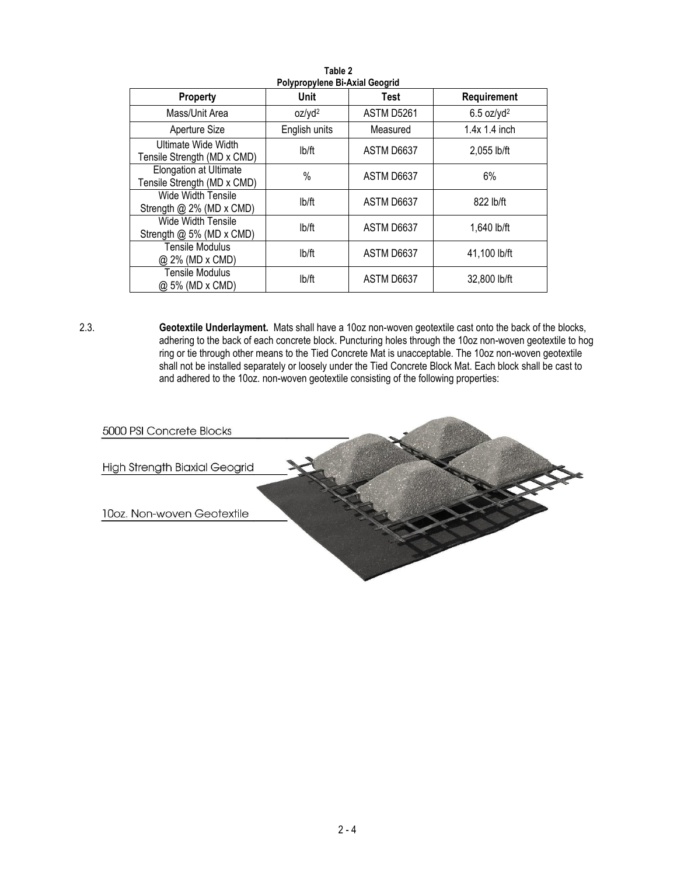| Polypropylene Bi-Axial Geogrid                               |                    |             |                          |  |  |  |
|--------------------------------------------------------------|--------------------|-------------|--------------------------|--|--|--|
| Property                                                     | Unit               | <b>Test</b> | Requirement              |  |  |  |
| Mass/Unit Area                                               | oz/yd <sup>2</sup> | ASTM D5261  | $6.5$ oz/yd <sup>2</sup> |  |  |  |
| Aperture Size                                                | English units      | Measured    | $1.4x$ 1.4 inch          |  |  |  |
| Ultimate Wide Width<br>Tensile Strength (MD x CMD)           | lb/ft              | ASTM D6637  | 2,055 lb/ft              |  |  |  |
| <b>Elongation at Ultimate</b><br>Tensile Strength (MD x CMD) | $\%$               | ASTM D6637  | 6%                       |  |  |  |
| Wide Width Tensile<br>Strength @ 2% (MD x CMD)               | lb/ft              | ASTM D6637  | 822 lb/ft                |  |  |  |
| Wide Width Tensile<br>Strength @ 5% (MD x CMD)               | lb/ft              | ASTM D6637  | 1,640 lb/ft              |  |  |  |
| <b>Tensile Modulus</b><br>@ 2% (MD x CMD)                    | lb/ft              | ASTM D6637  | 41,100 lb/ft             |  |  |  |
| <b>Tensile Modulus</b><br>@ 5% (MD x CMD)                    | lb/ft              | ASTM D6637  | 32,800 lb/ft             |  |  |  |

**Table 2**

2.3. **Geotextile Underlayment.** Mats shall have a 10oz non-woven geotextile cast onto the back of the blocks, adhering to the back of each concrete block. Puncturing holes through the 10oz non-woven geotextile to hog ring or tie through other means to the Tied Concrete Mat is unacceptable. The 10oz non-woven geotextile shall not be installed separately or loosely under the Tied Concrete Block Mat. Each block shall be cast to and adhered to the 10oz. non-woven geotextile consisting of the following properties:

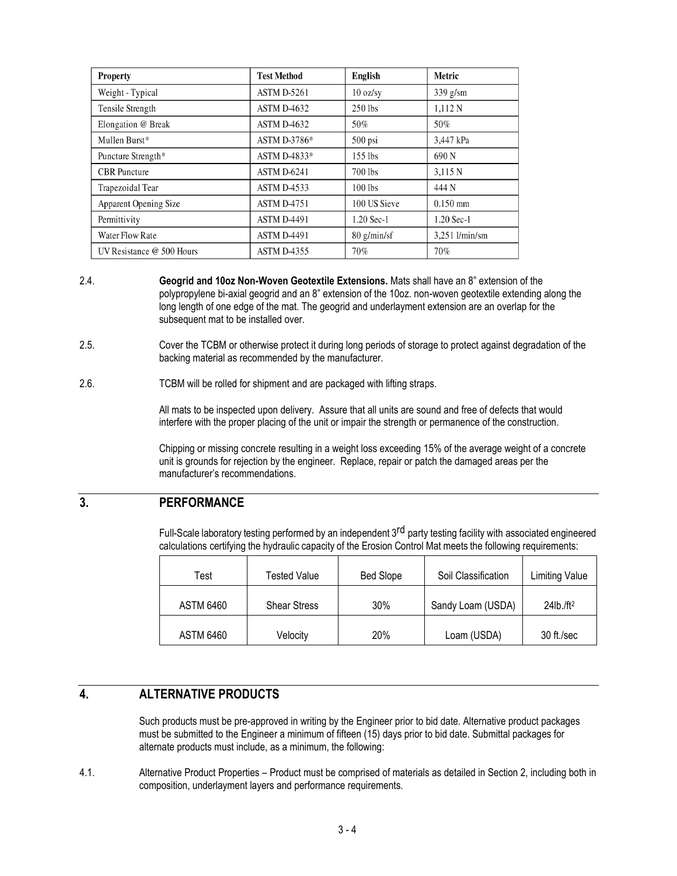| Property                  | <b>Test Method</b> | English            | <b>Metric</b>  |
|---------------------------|--------------------|--------------------|----------------|
| Weight - Typical          | ASTM D-5261        | $10 \text{ oz/sy}$ | $339$ g/sm     |
| Tensile Strength          | ASTM D-4632        | $250$ lbs          | 1,112 N        |
| Elongation @ Break        | ASTM D-4632        | 50%                | 50%            |
| Mullen Burst*             | ASTM D-3786*       | $500$ psi          | 3,447 kPa      |
| Puncture Strength*        | ASTM D-4833*       | $155$ lbs          | 690 N          |
| <b>CBR</b> Puncture       | ASTM D-6241        | 700 lbs            | 3.115 N        |
| Trapezoidal Tear          | <b>ASTM D-4533</b> | $100$ lbs          | 444 N          |
| Apparent Opening Size     | <b>ASTM D-4751</b> | 100 US Sieve       | $0.150$ mm     |
| Permittivity              | <b>ASTM D-4491</b> | $1.20$ Sec-1       | 1.20 Sec-1     |
| Water Flow Rate           | <b>ASTM D-4491</b> | $80$ g/min/sf      | 3,251 l/min/sm |
| UV Resistance @ 500 Hours | ASTM D-4355        | 70%                | 70%            |

- 2.4. **Geogrid and 10oz Non-Woven Geotextile Extensions.** Mats shall have an 8" extension of the polypropylene bi-axial geogrid and an 8" extension of the 10oz. non-woven geotextile extending along the long length of one edge of the mat. The geogrid and underlayment extension are an overlap for the subsequent mat to be installed over.
- 2.5. Cover the TCBM or otherwise protect it during long periods of storage to protect against degradation of the backing material as recommended by the manufacturer.
- 2.6. TCBM will be rolled for shipment and are packaged with lifting straps.

All mats to be inspected upon delivery. Assure that all units are sound and free of defects that would interfere with the proper placing of the unit or impair the strength or permanence of the construction.

Chipping or missing concrete resulting in a weight loss exceeding 15% of the average weight of a concrete unit is grounds for rejection by the engineer. Replace, repair or patch the damaged areas per the manufacturer's recommendations.

## **3. PERFORMANCE**

Full-Scale laboratory testing performed by an independent 3<sup>rd</sup> party testing facility with associated engineered calculations certifying the hydraulic capacity of the Erosion Control Mat meets the following requirements:

| Test             | Tested Value        | <b>Bed Slope</b> | Soil Classification | <b>Limiting Value</b>    |
|------------------|---------------------|------------------|---------------------|--------------------------|
| <b>ASTM 6460</b> | <b>Shear Stress</b> | 30%              | Sandy Loam (USDA)   | $24$ lb./ft <sup>2</sup> |
| <b>ASTM 6460</b> | Velocity            | 20%              | Loam (USDA)         | 30 ft./sec               |

# **4. ALTERNATIVE PRODUCTS**

Such products must be pre-approved in writing by the Engineer prior to bid date. Alternative product packages must be submitted to the Engineer a minimum of fifteen (15) days prior to bid date. Submittal packages for alternate products must include, as a minimum, the following:

4.1. Alternative Product Properties – Product must be comprised of materials as detailed in Section 2, including both in composition, underlayment layers and performance requirements.